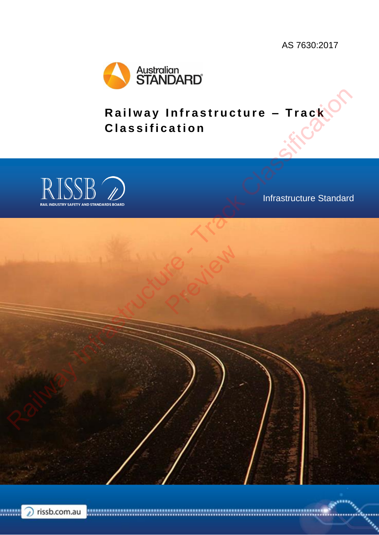<span id="page-0-0"></span>AS 7630:2017



**Railway Infrastructure - Track C l a s s i f i c a t i o n**



Infrastructure Standard

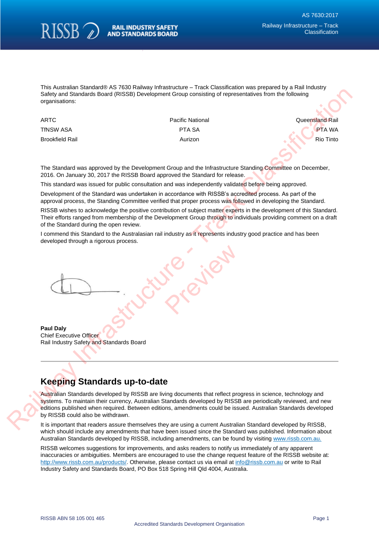

This Australian Standard® AS 7630 Railway Infrastructure – Track Classification was prepared by a Rail Industry Safety and Standards Board (RISSB) Development Group consisting of representatives from the following organisations:

ARTC **Pacific National Pacific National Community** Cueensland Rail **Queensland Rail** TfNSW ASA PTA SA PTA SA PTA WA PTA WA PTA WA PTA WA PTA WA PTA WA PTA WA PTA WA PTA WA PTA WA PTA WA PTA WA PT Brookfield Rail **Aurizon** Rio Tinto Rio Tinto Rio Tinto Rio Tinto Rio Tinto Rio Tinto Rio Tinto Rio Tinto Rio Tinto

The Standard was approved by the Development Group and the Infrastructure Standing Committee on December, 2016. On January 30, 2017 the RISSB Board approved the Standard for release.

This standard was issued for public consultation and was independently validated before being approved.

Development of the Standard was undertaken in accordance with RISSB's accredited process. As part of the approval process, the Standing Committee verified that proper process was followed in developing the Standard.

RISSB wishes to acknowledge the positive contribution of subject matter experts in the development of this Standard. Their efforts ranged from membership of the Development Group through to individuals providing comment on a draft of the Standard during the open review.

I commend this Standard to the Australasian rail industry as it represents industry good practice and has been developed through a rigorous process. **MYPROVER** 

**Paul Daly** Chief Executive Officer Rail Industry Safety and Standards Board

## **Keeping Standards up-to-date**

Australian Standards developed by RISSB are living documents that reflect progress in science, technology and systems. To maintain their currency, Australian Standards developed by RISSB are periodically reviewed, and new editions published when required. Between editions, amendments could be issued. Australian Standards developed by RISSB could also be withdrawn. Suffrage InStandant Readers (RISBA) Development Classe are researching of representatives from the following<br>particular the system of the Classification of the Classification of the Classification of the Classification<br>
TR

It is important that readers assure themselves they are using a current Australian Standard developed by RISSB, which should include any amendments that have been issued since the Standard was published. Information about Australian Standards developed by RISSB, including amendments, can be found by visiting [www.rissb.com.au.](http://www.rissb.com.au/)

RISSB welcomes suggestions for improvements, and asks readers to notify us immediately of any apparent inaccuracies or ambiguities. Members are encouraged to use the change request feature of the RISSB website at: [http://www.rissb.com.au/products/.](http://www.rissb.com.au/products/) Otherwise, please contact us via email at [info@rissb.com.au](mailto:info@rissb.com.au) or write to Rail Industry Safety and Standards Board, PO Box 518 Spring Hill Qld 4004, Australia.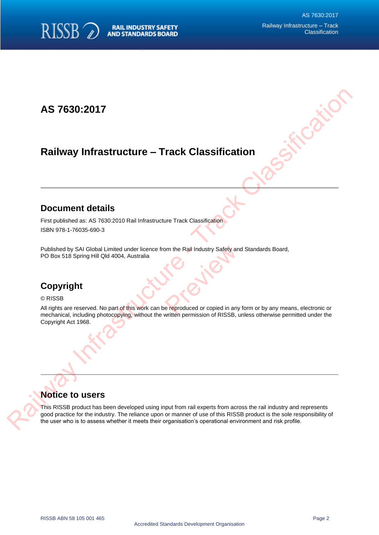

## **AS 7630:2017**

# **Railway Infrastructure – Track Classification**

### **Document details**

First published as: AS 7630:2010 Rail Infrastructure Track Classification ISBN 978-1-76035-690-3

Published by SAI Global Limited under licence from the Rail Industry Safety and Standards Board, PO Box 518 Spring Hill Qld 4004, Australia om the Rail Industry Safety and

## **Copyright**

#### © RISSB

All rights are reserved. No part of this work can be reproduced or copied in any form or by any means, electronic or mechanical, including photocopying, without the written permission of RISSB, unless otherwise permitted under the Copyright Act 1968. Railway Infrastructure - Track Classification<br>
Pocument details<br>
First published by 3A1 Gibbs United Uncertainty Track Classification<br>
FIRS 878-17635-862-3<br>
Published by 3A1 Gibbs United Uncertainty Rain Track Classificati

### **Notice to users**

This RISSB product has been developed using input from rail experts from across the rail industry and represents good practice for the industry. The reliance upon or manner of use of this RISSB product is the sole responsibility of the user who is to assess whether it meets their organisation's operational environment and risk profile.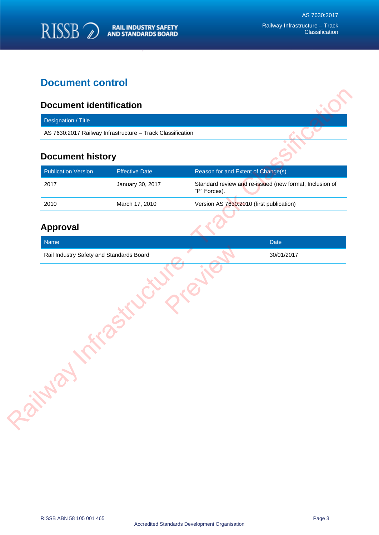

## **Document control**

### **Document identification**

### **Document history**

| <b>Publication Version</b> | <b>Effective Date</b> | Reason for and Extent of Change(s)                                      |
|----------------------------|-----------------------|-------------------------------------------------------------------------|
| 2017                       | January 30, 2017      | Standard review and re-issued (new format, Inclusion of<br>"P" Forces). |
| 2010                       | March 17, 2010        | Version AS 7630:2010 (first publication)                                |
|                            |                       |                                                                         |

### **Approval**

| AS 7630:2017 Railway Infrastructure - Track Classification<br><b>Document history</b><br><b>Publication Version</b><br><b>Effective Date</b><br>Reason for and Extent of Change(s)<br>2017<br>January 30, 2017<br>"P" Forces).<br>Version AS 7630:2010 (first publication)<br>2010<br>March 17, 2010<br><b>Approval</b><br>Name<br>Date<br>Rail Industry Safety and Standards Board<br>30/01/2017<br>Railway | Designation / Title |                                                         |
|--------------------------------------------------------------------------------------------------------------------------------------------------------------------------------------------------------------------------------------------------------------------------------------------------------------------------------------------------------------------------------------------------------------|---------------------|---------------------------------------------------------|
|                                                                                                                                                                                                                                                                                                                                                                                                              |                     |                                                         |
|                                                                                                                                                                                                                                                                                                                                                                                                              |                     |                                                         |
|                                                                                                                                                                                                                                                                                                                                                                                                              |                     |                                                         |
|                                                                                                                                                                                                                                                                                                                                                                                                              |                     | Standard review and re-issued (new format, Inclusion of |
|                                                                                                                                                                                                                                                                                                                                                                                                              |                     |                                                         |
|                                                                                                                                                                                                                                                                                                                                                                                                              |                     |                                                         |
|                                                                                                                                                                                                                                                                                                                                                                                                              |                     |                                                         |
|                                                                                                                                                                                                                                                                                                                                                                                                              |                     |                                                         |
|                                                                                                                                                                                                                                                                                                                                                                                                              |                     |                                                         |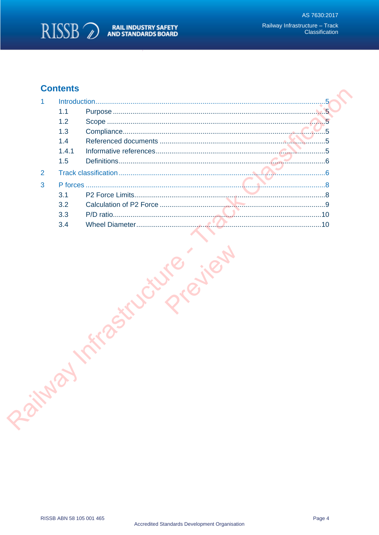

## **Contents**

| 1              |       |  |  |
|----------------|-------|--|--|
|                | 1.1   |  |  |
|                | 1.2   |  |  |
|                | 1.3   |  |  |
|                | 1.4   |  |  |
|                | 1.4.1 |  |  |
|                | 1.5   |  |  |
| $\overline{2}$ |       |  |  |
| 3              |       |  |  |
|                | 3.1   |  |  |
|                | 3.2   |  |  |
|                | 3.3   |  |  |
|                | 3.4   |  |  |
|                |       |  |  |
|                |       |  |  |
|                |       |  |  |
|                |       |  |  |
|                |       |  |  |
|                |       |  |  |
|                |       |  |  |
|                |       |  |  |
|                |       |  |  |
|                |       |  |  |
|                |       |  |  |
|                |       |  |  |
|                |       |  |  |
|                |       |  |  |
|                |       |  |  |
|                |       |  |  |
|                |       |  |  |
|                |       |  |  |
|                |       |  |  |
| Paints         |       |  |  |
|                |       |  |  |
|                |       |  |  |
|                |       |  |  |
|                |       |  |  |
|                |       |  |  |
|                |       |  |  |